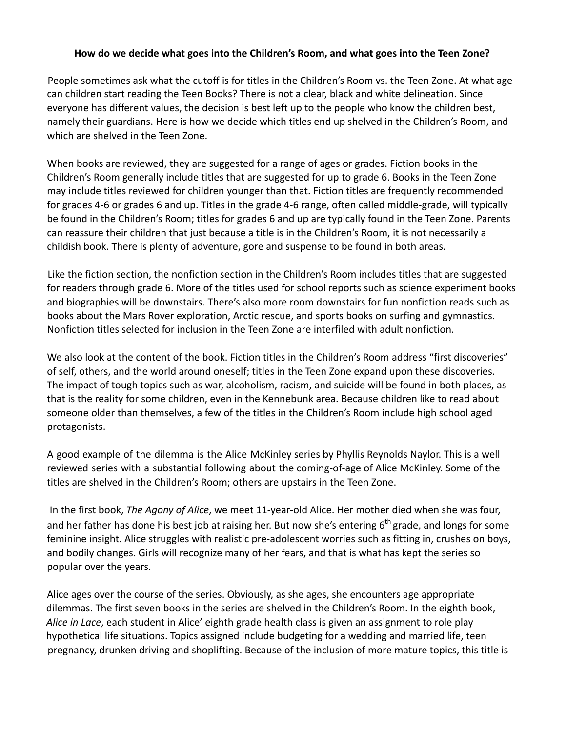## **How do we decide what goes into the Children's Room, and what goes into the Teen Zone?**

People sometimes ask what the cutoff is for titles in the Children's Room vs. the Teen Zone. At what age can children start reading the Teen Books? There is not a clear, black and white delineation. Since everyone has different values, the decision is best left up to the people who know the children best, namely their guardians. Here is how we decide which titles end up shelved in the Children's Room, and which are shelved in the Teen Zone.

When books are reviewed, they are suggested for a range of ages or grades. Fiction books in the Children's Room generally include titles that are suggested for up to grade 6. Books in the Teen Zone may include titles reviewed for children younger than that. Fiction titles are frequently recommended for grades 4-6 or grades 6 and up. Titles in the grade 4-6 range, often called middle-grade, will typically be found in the Children's Room; titles for grades 6 and up are typically found in the Teen Zone. Parents can reassure their children that just because a title is in the Children's Room, it is not necessarily a childish book. There is plenty of adventure, gore and suspense to be found in both areas.

Like the fiction section, the nonfiction section in the Children's Room includes titles that are suggested for readers through grade 6. More of the titles used for school reports such as science experiment books and biographies will be downstairs. There's also more room downstairs for fun nonfiction reads such as books about the Mars Rover exploration, Arctic rescue, and sports books on surfing and gymnastics. Nonfiction titles selected for inclusion in the Teen Zone are interfiled with adult nonfiction.

We also look at the content of the book. Fiction titles in the Children's Room address "first discoveries" of self, others, and the world around oneself; titles in the Teen Zone expand upon these discoveries. The impact of tough topics such as war, alcoholism, racism, and suicide will be found in both places, as that is the reality for some children, even in the Kennebunk area. Because children like to read about someone older than themselves, a few of the titles in the Children's Room include high school aged protagonists.

A good example of the dilemma is the Alice McKinley series by Phyllis Reynolds Naylor. This is a well reviewed series with a substantial following about the coming-of-age of Alice McKinley. Some of the titles are shelved in the Children's Room; others are upstairs in the Teen Zone.

In the first book, *The Agony of Alice*, we meet 11-year-old Alice. Her mother died when she was four, and her father has done his best job at raising her. But now she's entering  $6<sup>th</sup>$  grade, and longs for some feminine insight. Alice struggles with realistic pre-adolescent worries such as fitting in, crushes on boys, and bodily changes. Girls will recognize many of her fears, and that is what has kept the series so popular over the years.

Alice ages over the course of the series. Obviously, as she ages, she encounters age appropriate dilemmas. The first seven books in the series are shelved in the Children's Room. In the eighth book, *Alice in Lace*, each student in Alice' eighth grade health class is given an assignment to role play hypothetical life situations. Topics assigned include budgeting for a wedding and married life, teen pregnancy, drunken driving and shoplifting. Because of the inclusion of more mature topics, this title is